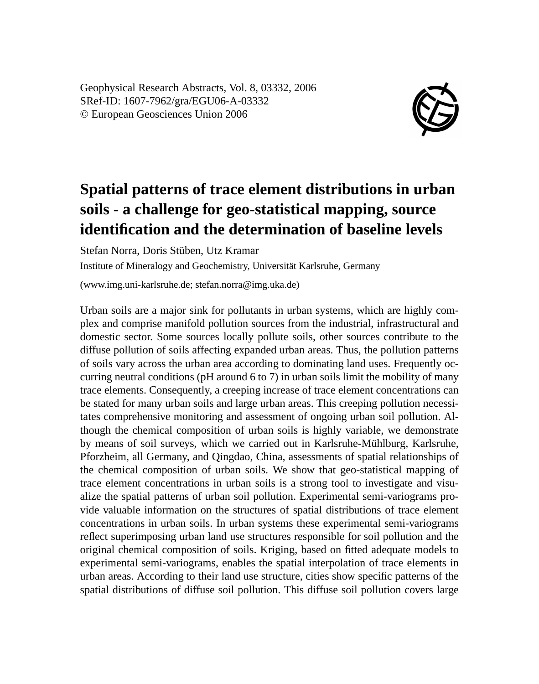Geophysical Research Abstracts, Vol. 8, 03332, 2006 SRef-ID: 1607-7962/gra/EGU06-A-03332 © European Geosciences Union 2006



## **Spatial patterns of trace element distributions in urban soils - a challenge for geo-statistical mapping, source identification and the determination of baseline levels**

Stefan Norra, Doris Stüben, Utz Kramar

Institute of Mineralogy and Geochemistry, Universität Karlsruhe, Germany

(www.img.uni-karlsruhe.de; stefan.norra@img.uka.de)

Urban soils are a major sink for pollutants in urban systems, which are highly complex and comprise manifold pollution sources from the industrial, infrastructural and domestic sector. Some sources locally pollute soils, other sources contribute to the diffuse pollution of soils affecting expanded urban areas. Thus, the pollution patterns of soils vary across the urban area according to dominating land uses. Frequently occurring neutral conditions (pH around 6 to 7) in urban soils limit the mobility of many trace elements. Consequently, a creeping increase of trace element concentrations can be stated for many urban soils and large urban areas. This creeping pollution necessitates comprehensive monitoring and assessment of ongoing urban soil pollution. Although the chemical composition of urban soils is highly variable, we demonstrate by means of soil surveys, which we carried out in Karlsruhe-Mühlburg, Karlsruhe, Pforzheim, all Germany, and Qingdao, China, assessments of spatial relationships of the chemical composition of urban soils. We show that geo-statistical mapping of trace element concentrations in urban soils is a strong tool to investigate and visualize the spatial patterns of urban soil pollution. Experimental semi-variograms provide valuable information on the structures of spatial distributions of trace element concentrations in urban soils. In urban systems these experimental semi-variograms reflect superimposing urban land use structures responsible for soil pollution and the original chemical composition of soils. Kriging, based on fitted adequate models to experimental semi-variograms, enables the spatial interpolation of trace elements in urban areas. According to their land use structure, cities show specific patterns of the spatial distributions of diffuse soil pollution. This diffuse soil pollution covers large